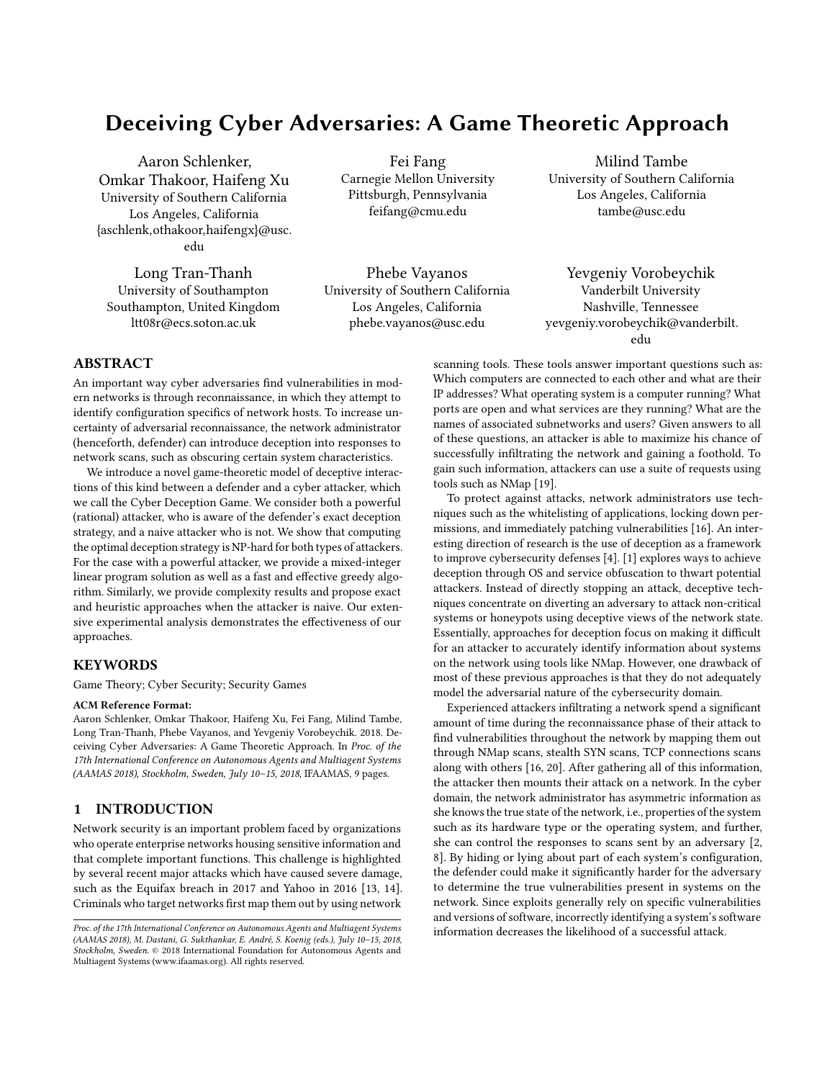# Deceiving Cyber Adversaries: A Game Theoretic Approach

Aaron Schlenker, Omkar Thakoor, Haifeng Xu University of Southern California Los Angeles, California {aschlenk,othakoor,haifengx}@usc. edu

Long Tran-Thanh University of Southampton Southampton, United Kingdom ltt08r@ecs.soton.ac.uk

Fei Fang Carnegie Mellon University Pittsburgh, Pennsylvania feifang@cmu.edu

Phebe Vayanos University of Southern California Los Angeles, California phebe.vayanos@usc.edu

Milind Tambe University of Southern California Los Angeles, California tambe@usc.edu

Yevgeniy Vorobeychik Vanderbilt University Nashville, Tennessee yevgeniy.vorobeychik@vanderbilt. edu

## ABSTRACT

An important way cyber adversaries find vulnerabilities in modern networks is through reconnaissance, in which they attempt to identify configuration specifics of network hosts. To increase uncertainty of adversarial reconnaissance, the network administrator (henceforth, defender) can introduce deception into responses to network scans, such as obscuring certain system characteristics.

We introduce a novel game-theoretic model of deceptive interactions of this kind between a defender and a cyber attacker, which we call the Cyber Deception Game. We consider both a powerful (rational) attacker, who is aware of the defender's exact deception strategy, and a naive attacker who is not. We show that computing the optimal deception strategy is NP-hard for both types of attackers. For the case with a powerful attacker, we provide a mixed-integer linear program solution as well as a fast and effective greedy algorithm. Similarly, we provide complexity results and propose exact and heuristic approaches when the attacker is naive. Our extensive experimental analysis demonstrates the effectiveness of our approaches.

#### **KEYWORDS**

Game Theory; Cyber Security; Security Games

#### ACM Reference Format:

Aaron Schlenker, Omkar Thakoor, Haifeng Xu, Fei Fang, Milind Tambe, Long Tran-Thanh, Phebe Vayanos, and Yevgeniy Vorobeychik. 2018. Deceiving Cyber Adversaries: A Game Theoretic Approach. In Proc. of the 17th International Conference on Autonomous Agents and Multiagent Systems (AAMAS 2018), Stockholm, Sweden, July 10–15, 2018, IFAAMAS, [9](#page-8-0) pages.

## 1 INTRODUCTION

Network security is an important problem faced by organizations who operate enterprise networks housing sensitive information and that complete important functions. This challenge is highlighted by several recent major attacks which have caused severe damage, such as the Equifax breach in 2017 and Yahoo in 2016 [\[13,](#page-8-1) [14\]](#page-8-2). Criminals who target networks first map them out by using network

scanning tools. These tools answer important questions such as: Which computers are connected to each other and what are their IP addresses? What operating system is a computer running? What ports are open and what services are they running? What are the names of associated subnetworks and users? Given answers to all of these questions, an attacker is able to maximize his chance of successfully infiltrating the network and gaining a foothold. To gain such information, attackers can use a suite of requests using tools such as NMap [\[19\]](#page-8-3).

To protect against attacks, network administrators use techniques such as the whitelisting of applications, locking down permissions, and immediately patching vulnerabilities [\[16\]](#page-8-4). An interesting direction of research is the use of deception as a framework to improve cybersecurity defenses [\[4\]](#page-8-5). [\[1\]](#page-8-6) explores ways to achieve deception through OS and service obfuscation to thwart potential attackers. Instead of directly stopping an attack, deceptive techniques concentrate on diverting an adversary to attack non-critical systems or honeypots using deceptive views of the network state. Essentially, approaches for deception focus on making it difficult for an attacker to accurately identify information about systems on the network using tools like NMap. However, one drawback of most of these previous approaches is that they do not adequately model the adversarial nature of the cybersecurity domain.

Experienced attackers infiltrating a network spend a significant amount of time during the reconnaissance phase of their attack to find vulnerabilities throughout the network by mapping them out through NMap scans, stealth SYN scans, TCP connections scans along with others [\[16,](#page-8-4) [20\]](#page-8-7). After gathering all of this information, the attacker then mounts their attack on a network. In the cyber domain, the network administrator has asymmetric information as she knows the true state of the network, i.e., properties of the system such as its hardware type or the operating system, and further, she can control the responses to scans sent by an adversary [\[2,](#page-8-8) [8\]](#page-8-9). By hiding or lying about part of each system's configuration, the defender could make it significantly harder for the adversary to determine the true vulnerabilities present in systems on the network. Since exploits generally rely on specific vulnerabilities and versions of software, incorrectly identifying a system's software information decreases the likelihood of a successful attack.

Proc. of the 17th International Conference on Autonomous Agents and Multiagent Systems (AAMAS 2018), M. Dastani, G. Sukthankar, E. André, S. Koenig (eds.), July 10–15, 2018, Stockholm, Sweden. © 2018 International Foundation for Autonomous Agents and Multiagent Systems (www.ifaamas.org). All rights reserved.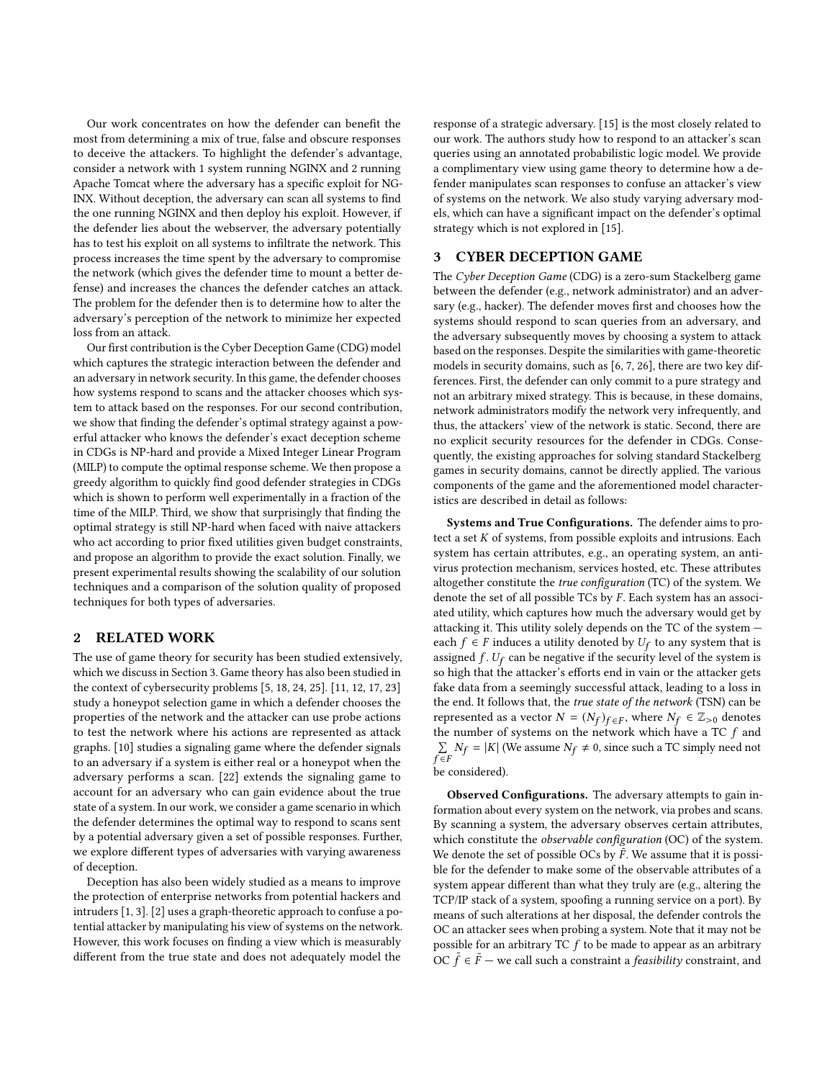Our work concentrates on how the defender can benefit the most from determining a mix of true, false and obscure responses to deceive the attackers. To highlight the defender's advantage, consider a network with 1 system running NGINX and 2 running Apache Tomcat where the adversary has a specific exploit for NG-INX. Without deception, the adversary can scan all systems to find the one running NGINX and then deploy his exploit. However, if the defender lies about the webserver, the adversary potentially has to test his exploit on all systems to infiltrate the network. This process increases the time spent by the adversary to compromise the network (which gives the defender time to mount a better defense) and increases the chances the defender catches an attack. The problem for the defender then is to determine how to alter the adversary's perception of the network to minimize her expected loss from an attack.

Our first contribution is the Cyber Deception Game (CDG) model which captures the strategic interaction between the defender and an adversary in network security. In this game, the defender chooses how systems respond to scans and the attacker chooses which system to attack based on the responses. For our second contribution, we show that finding the defender's optimal strategy against a powerful attacker who knows the defender's exact deception scheme in CDGs is NP-hard and provide a Mixed Integer Linear Program (MILP) to compute the optimal response scheme. We then propose a greedy algorithm to quickly find good defender strategies in CDGs which is shown to perform well experimentally in a fraction of the time of the MILP. Third, we show that surprisingly that finding the optimal strategy is still NP-hard when faced with naive attackers who act according to prior fixed utilities given budget constraints, and propose an algorithm to provide the exact solution. Finally, we present experimental results showing the scalability of our solution techniques and a comparison of the solution quality of proposed techniques for both types of adversaries.

## 2 RELATED WORK

The use of game theory for security has been studied extensively, which we discuss in Section [3.](#page-1-0) Game theory has also been studied in the context of cybersecurity problems [\[5,](#page-8-10) [18,](#page-8-11) [24,](#page-8-12) [25\]](#page-8-13). [\[11,](#page-8-14) [12,](#page-8-15) [17,](#page-8-16) [23\]](#page-8-17) study a honeypot selection game in which a defender chooses the properties of the network and the attacker can use probe actions to test the network where his actions are represented as attack graphs. [\[10\]](#page-8-18) studies a signaling game where the defender signals to an adversary if a system is either real or a honeypot when the adversary performs a scan. [\[22\]](#page-8-19) extends the signaling game to account for an adversary who can gain evidence about the true state of a system. In our work, we consider a game scenario in which the defender determines the optimal way to respond to scans sent by a potential adversary given a set of possible responses. Further, we explore different types of adversaries with varying awareness of deception.

Deception has also been widely studied as a means to improve the protection of enterprise networks from potential hackers and intruders [\[1,](#page-8-6) [3\]](#page-8-20). [\[2\]](#page-8-8) uses a graph-theoretic approach to confuse a potential attacker by manipulating his view of systems on the network. However, this work focuses on finding a view which is measurably different from the true state and does not adequately model the

response of a strategic adversary. [\[15\]](#page-8-21) is the most closely related to our work. The authors study how to respond to an attacker's scan queries using an annotated probabilistic logic model. We provide a complimentary view using game theory to determine how a defender manipulates scan responses to confuse an attacker's view of systems on the network. We also study varying adversary models, which can have a significant impact on the defender's optimal strategy which is not explored in [\[15\]](#page-8-21).

#### <span id="page-1-0"></span>3 CYBER DECEPTION GAME

The Cyber Deception Game (CDG) is a zero-sum Stackelberg game between the defender (e.g., network administrator) and an adversary (e.g., hacker). The defender moves first and chooses how the systems should respond to scan queries from an adversary, and the adversary subsequently moves by choosing a system to attack based on the responses. Despite the similarities with game-theoretic models in security domains, such as [\[6,](#page-8-22) [7,](#page-8-23) [26\]](#page-8-24), there are two key differences. First, the defender can only commit to a pure strategy and not an arbitrary mixed strategy. This is because, in these domains, network administrators modify the network very infrequently, and thus, the attackers' view of the network is static. Second, there are no explicit security resources for the defender in CDGs. Consequently, the existing approaches for solving standard Stackelberg games in security domains, cannot be directly applied. The various components of the game and the aforementioned model characteristics are described in detail as follows:

Systems and True Configurations. The defender aims to protect a set K of systems, from possible exploits and intrusions. Each system has certain attributes, e.g., an operating system, an antivirus protection mechanism, services hosted, etc. These attributes altogether constitute the true configuration (TC) of the system. We denote the set of all possible TCs by  $F$ . Each system has an associated utility, which captures how much the adversary would get by attacking it. This utility solely depends on the TC of the system each  $f \in F$  induces a utility denoted by  $U_f$  to any system that is assigned f.  $U_c$  can be negative if the security level of the system is assigned  $f$ .  $U_f$  can be negative if the security level of the system is<br>so high that the attacker's efforts end in vain or the attacker gets so high that the attacker's efforts end in vain or the attacker gets fake data from a seemingly successful attack, leading to a loss in the end. It follows that, the true state of the network (TSN) can be represented as a vector  $N = (N_f)_{f \in F}$ , where  $N_f \in \mathbb{Z}_{>0}$  denotes<br>the number of systems on the network which have a TC f and the number of systems on the network which have a TC f and  $\sum N_f = |K|$  (We assume  $N_f \neq 0$ , since such a TC simply need not  $\sum_{f \in F} N_f = |K|$  (We assume  $N_f \neq 0$ , since such a TC simply need not be considered). be considered).

Observed Configurations. The adversary attempts to gain information about every system on the network, via probes and scans. By scanning a system, the adversary observes certain attributes, which constitute the *observable configuration* (OC) of the system. We denote the set of possible OCs by  $\overrightarrow{F}$ . We assume that it is possible for the defender to make some of the observable attributes of a ble for the defender to make some of the observable attributes of a system appear different than what they truly are (e.g., altering the TCP/IP stack of a system, spoofing a running service on a port). By means of such alterations at her disposal, the defender controls the OC an attacker sees when probing a system. Note that it may not be possible for an arbitrary TC  $f$  to be made to appear as an arbitrary OC  $\tilde{f} \in \tilde{F}$  — we call such a constraint a *feasibility* constraint, and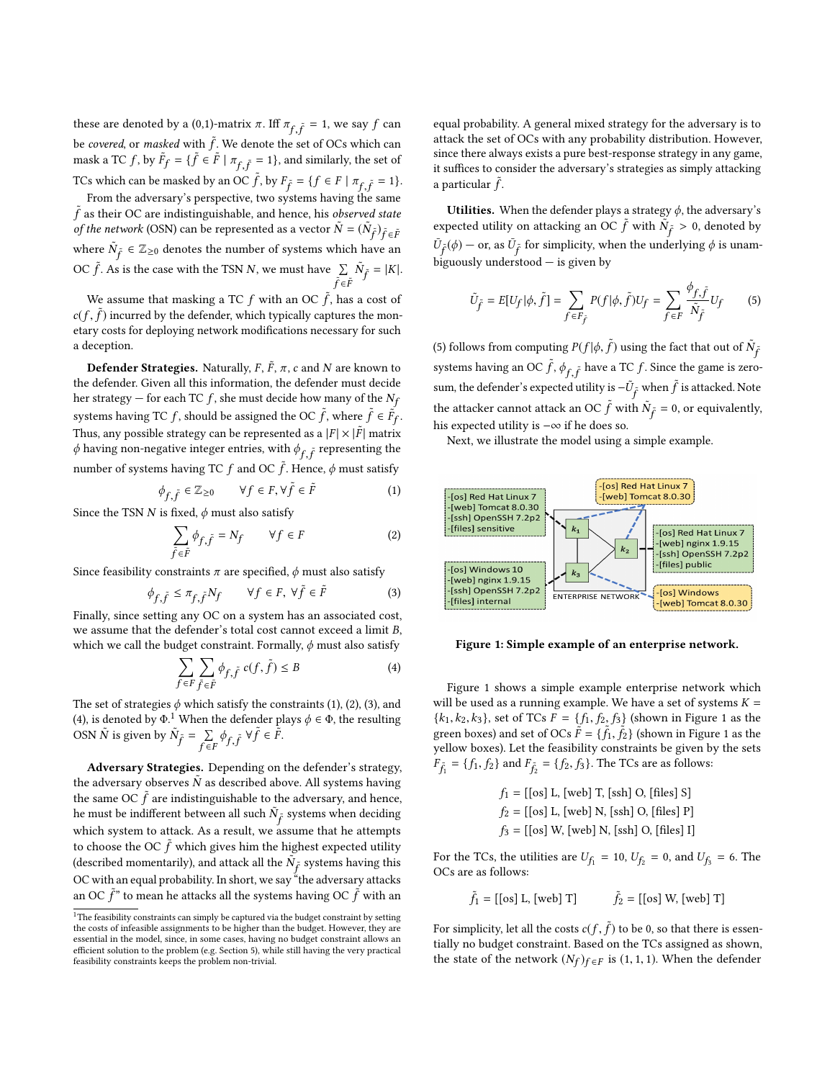these are denoted by a (0,1)-matrix  $\pi$ . Iff  $\pi_{f, \tilde{f}} = 1$ , we say  $f$  can be covered, or masked with  $\tilde{f}$ . We denote the set of OCs which can<br>mask a TC f, by  $\tilde{F}$ ,  $= (\tilde{f} \in \tilde{F} | \pi, \pi = 1)$  and similarly the set of mask a TC f, by  $\tilde{F}_f = \{ \tilde{f} \in \tilde{F} \mid \pi_{f, \tilde{f}} = 1 \}$ , and similarly, the set of TCs which can be masked by an OC  $\tilde{f}$ , by  $F_{\tilde{f}} = \{f \in F \mid \pi_{f, \tilde{f}} = 1\}.$ 

From the adversary's perspective, two systems having the same  $\tilde{f}$  as their OC are indistinguishable, and hence, his *observed state*<br>of the network (OSN) can be represented as a vector  $\tilde{N} = (\tilde{N}_2)_{2}$ . of the network (OSN) can be represented as a vector  $\tilde{N} = (\tilde{N}_{\tilde{f}})_{\tilde{f} \in \tilde{F}}$ where  $\tilde{N}_{\tilde{f}} \in \mathbb{Z}_{\geq 0}$  denotes the number of systems which have an OC  $\tilde{f}$ . As is the case with the TSN N, we must have  $\sum_{\tilde{f} \in \tilde{F}}$  $\tilde{N}_{\tilde{f}}$  $\tilde{f} = |K|.$ 

We assume that masking a TC f with an OC  $\tilde{f}$ , has a cost of  $c(f, \tilde{f})$  incurred by the defender, which typically captures the mon-<br>etary costs for deploying network modifications necessary for such etary costs for deploying network modifications necessary for such a deception.

**Defender Strategies.** Naturally,  $F$ ,  $\tilde{F}$ ,  $\pi$ ,  $c$  and  $N$  are known to defender Given all this information, the defender must decide the defender. Given all this information, the defender must decide her strategy — for each TC f, she must decide how many of the  $N_f$ systems having TC *f*, should be assigned the OC  $\tilde{f}$ , where  $\tilde{f} \in \tilde{F}_f$ . Thus, any possible strategy can be represented as a  $|F| \times |\tilde{F}|$  matrix  $\phi$  baying pop-persitive integer entries, with  $\phi$  a representing the  $\phi$  having non-negative integer entries, with  $\phi_{f, \tilde{f}}$  representing the number of systems having TC f and OC  $\tilde{f}$ . Hence,  $\phi$  must satisfy

<span id="page-2-0"></span>
$$
\phi_{f,\tilde{f}}\in \mathbb{Z}_{\geq 0} \qquad \forall f\in F, \forall \tilde{f}\in \tilde{F} \tag{1}
$$

Since the TSN N is fixed,  $\phi$  must also satisfy

<span id="page-2-1"></span>
$$
\sum_{\tilde{f}\in \tilde{F}} \phi_{\tilde{f},\tilde{f}} = N_f \qquad \forall f \in F \tag{2}
$$

Since feasibility constraints  $\pi$  are specified,  $\phi$  must also satisfy

<span id="page-2-2"></span>
$$
\phi_{f,\tilde{f}} \le \pi_{f,\tilde{f}} N_f \qquad \forall f \in F, \ \forall \tilde{f} \in \tilde{F} \tag{3}
$$

f , f f , f Finally, since setting any OC on a system has an associated cost, we assume that the defender's total cost cannot exceed a limit B, which we call the budget constraint. Formally,  $\phi$  must also satisfy

<span id="page-2-3"></span>
$$
\sum_{f \in F} \sum_{\tilde{f} \in \tilde{F}} \phi_{f, \tilde{f}} \ c(f, \tilde{f}) \le B \tag{4}
$$

The set of strategies  $\phi$  which satisfy the constraints [\(1\)](#page-2-0), [\(2\)](#page-2-1), [\(3\)](#page-2-2), and [\(4\)](#page-2-3), is denoted by  $\Phi$ .<sup>[1](#page-2-4)</sup> When the defender plays  $\phi \in \Phi$ , the resulting OSN  $\tilde{N}$  is given by  $\tilde{N}_{\tilde{f}}$ <sup>t</sup> = Í  $f \in F$ <sup> $f$ </sup>, ˜ f<br>S  $\forall \tilde{f} \in \tilde{\tilde{F}}.$ 

Adversary Strategies. Depending on the defender's strategy, the adversary observes  $\tilde{N}$  as described above. All systems having the same OC  $\tilde{f}$  are indistinguishable to the adversary, and hence, he must be indifferent between all such  $\tilde{N}$ , systems when deciding he must be indifferent between all such  $\tilde{N}_{\tilde{f}}$  systems when deciding which system to attack. As a result, we assume that he attempts to choose the OC  $\tilde{f}$  which gives him the highest expected utility<br>(described momentarily) and attack all the  $\tilde{N}_s$  systems having this (described momentarily), and attack all the  $\tilde{N}_{\tilde{f}}$  systems having this OC with an equal probability. In short, we say "the adversary attacks an OC  $\tilde{f}$ " to mean he attacks all the systems having OC  $\tilde{f}$  with an

equal probability. A general mixed strategy for the adversary is to attack the set of OCs with any probability distribution. However, since there always exists a pure best-response strategy in any game, it suffices to consider the adversary's strategies as simply attacking a particular  $\tilde{f}$ .

Utilities. When the defender plays a strategy  $\phi$ , the adversary's expected utility on attacking an OC  $\tilde{f}$  with  $\tilde{N}_{\tilde{f}} > 0$ , denoted by  $\bar{U}_{\tilde{f}}(\phi)$  — or, as  $\bar{U}_{\tilde{f}}$  for simplicity, when the underlying  $\phi$  is unambiguously understood — is given by

<span id="page-2-5"></span>
$$
\tilde{U}_{\tilde{f}} = E[U_f | \phi, \tilde{f}] = \sum_{f \in F_{\tilde{f}}} P(f | \phi, \tilde{f}) U_f = \sum_{f \in F} \frac{\phi_{f, \tilde{f}}}{\tilde{N}_{\tilde{f}}} U_f \tag{5}
$$

[\(5\)](#page-2-5) follows from computing  $P(f | \phi, \tilde{f})$  using the fact that out of  $\tilde{N}_{\tilde{f}}$ systems having an OC  $\tilde{f}$ ,  $\phi_{f,\tilde{f}}$  have a TC  $f$ . Since the game is zerosum, the defender's expected utility is  $-\tilde{U}_{\tilde{f}}$  when  $\tilde{f}$  is attacked. Note the attacker cannot attack an OC  $\tilde{f}$  with  $\tilde{N}_{\tilde{f}} = 0$ , or equivalently, l<br>E his expected utility is −∞ if he does so.

Next, we illustrate the model using a simple example.

<span id="page-2-6"></span>

Figure 1: Simple example of an enterprise network.

Figure [1](#page-2-6) shows a simple example enterprise network which will be used as a running example. We have a set of systems  $K =$  ${k_1, k_2, k_3}$ , set of TCs  $F = {f_1, f_2, f_3}$  (shown in Figure [1](#page-2-6) as the green boxes) and set of OCs  $\vec{F} = \{\vec{f}_1, \vec{f}_2\}$  (shown in Figure [1](#page-2-6) as the vallow boxes). Let the feasibility constraints be given by the sets yellow boxes). Let the feasibility constraints be given by the sets  $F_{\tilde{f}_1} = \{f_1, f_2\}$  and  $F_{\tilde{f}_2} = \{f_2, f_3\}$ . The TCs are as follows:

$$
f_1 = [[os] L, [web] T, [sh] O, [files] S]
$$
  
\n $f_2 = [[os] L, [web] N, [esh] O, [files] P]$   
\n $f_3 = [[os] W, [web] N, [esh] O, [files] I]$ 

For the TCs, the utilities are  $U_{f_1} = 10$ ,  $U_{f_2} = 0$ , and  $U_{f_3} = 6$ . The OCs are as follows: OCs are as follows:

$$
\tilde{f}_1 = [[\text{os}] \mathbf{L}, [\text{web}] \mathbf{T}] \qquad \qquad \tilde{f}_2 = [[\text{os}] \mathbf{W}, [\text{web}] \mathbf{T}]
$$

For simplicity, let all the costs  $c(f, \tilde{f})$  to be 0, so that there is essentially no budget constraint. Based on the TCs assigned as shown tially no budget constraint. Based on the TCs assigned as shown, the state of the network  $(N_f)_{f \in F}$  is (1, 1, 1). When the defender

<span id="page-2-4"></span> $1$ <sup>1</sup>The feasibility constraints can simply be captured via the budget constraint by setting the costs of infeasible assignments to be higher than the budget. However, they are essential in the model, since, in some cases, having no budget constraint allows an efficient solution to the problem (e.g. Section 5), while still having the very practical feasibility constraints keeps the problem non-trivial.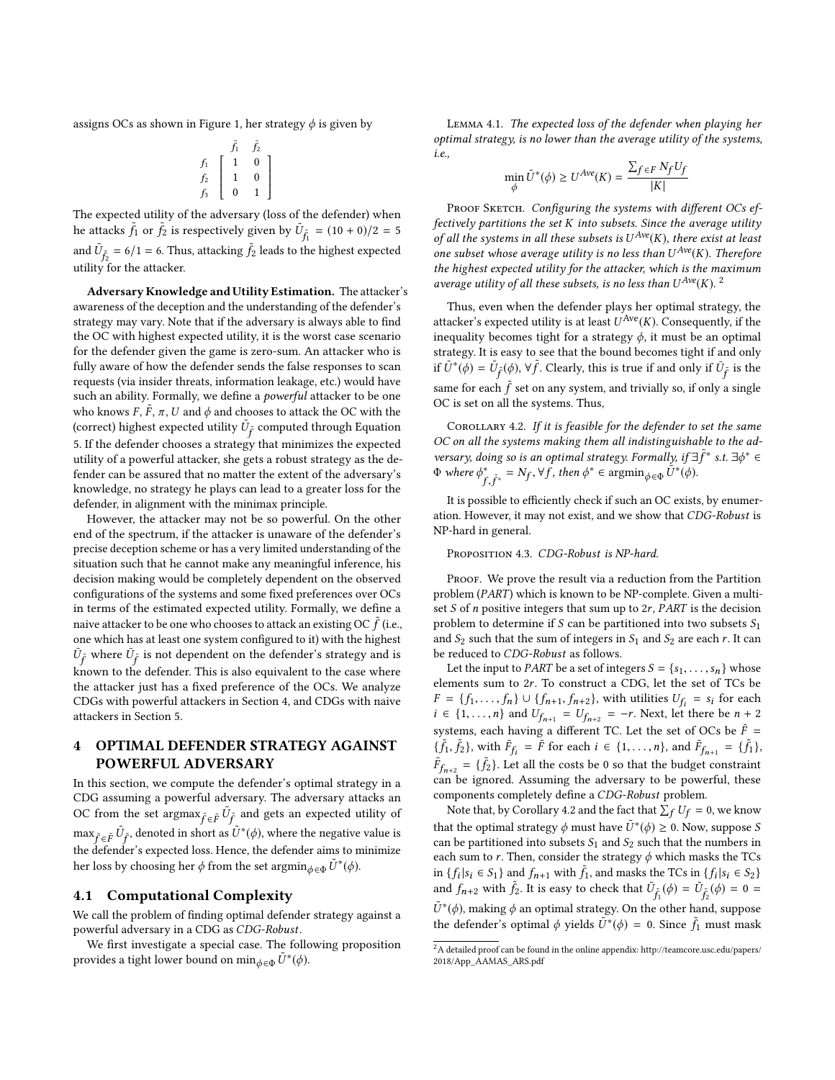assigns OCs as shown in Figure [1,](#page-2-6) her strategy  $\phi$  is given by

$$
\begin{array}{cc}\n & \tilde{f}_1 & \tilde{f}_2 \\
f_1 & 1 & 0 \\
f_2 & 1 & 0 \\
f_3 & 0 & 1\n\end{array}
$$

 The expected utility of the adversary (loss of the defender) when he attacks  $\tilde{f}_1$  or  $\tilde{f}_2$  is respectively given by  $\tilde{U}_{\tilde{f}_1} = (10 + 0)/2 = 5$ and  $\tilde{U}_{\tilde{f}_2} = 6/1 = 6$ . Thus, attacking  $\tilde{f}_2$  leads to the highest expected  $\frac{d\mathbf{H}\mathbf{u}}{dt} = \frac{f_2}{f_1} \mathbf{v}_1 + \frac{f_2}{f_2} \mathbf{v}_2 + \frac{f_3}{f_3} \mathbf{v}_3$ 

Adversary Knowledge and Utility Estimation. The attacker's awareness of the deception and the understanding of the defender's strategy may vary. Note that if the adversary is always able to find the OC with highest expected utility, it is the worst case scenario for the defender given the game is zero-sum. An attacker who is fully aware of how the defender sends the false responses to scan requests (via insider threats, information leakage, etc.) would have such an ability. Formally, we define a powerful attacker to be one who knows  $F, \tilde{F}, \pi, U$  and  $\phi$  and chooses to attack the OC with the (correct) bighest expected utility  $\tilde{U}$  seempword through Equation (correct) highest expected utility  $\tilde{U}_{\tilde{f}}$  computed through Equation f [5.](#page-2-5) If the defender chooses a strategy that minimizes the expected utility of a powerful attacker, she gets a robust strategy as the defender can be assured that no matter the extent of the adversary's knowledge, no strategy he plays can lead to a greater loss for the defender, in alignment with the minimax principle.

However, the attacker may not be so powerful. On the other end of the spectrum, if the attacker is unaware of the defender's precise deception scheme or has a very limited understanding of the situation such that he cannot make any meaningful inference, his decision making would be completely dependent on the observed configurations of the systems and some fixed preferences over OCs in terms of the estimated expected utility. Formally, we define a naive attacker to be one who chooses to attack an existing OC  $\tilde{f}$  (i.e., one which has at least one system configured to it) with the highest one which has at least one system configured to it) with the highest  $\bar{U}_{\tilde{f}}$  where  $\bar{U}_{\tilde{f}}$  is not dependent on the defender's strategy and is known to the defender. This is also equivalent to the case where the attacker just has a fixed preference of the OCs. We analyze CDGs with powerful attackers in Section [4,](#page-3-0) and CDGs with naive attackers in Section [5.](#page-5-0)

# <span id="page-3-0"></span>4 OPTIMAL DEFENDER STRATEGY AGAINST POWERFUL ADVERSARY

In this section, we compute the defender's optimal strategy in a CDG assuming a powerful adversary. The adversary attacks an OC from the set argmax  $\tilde{f} \in \tilde{F} \tilde{U}_{\tilde{f}}$  and gets an expected utility of  $\max_{\tilde{f} \in \tilde{F}} \tilde{U}_{\tilde{f}}$ , denoted in short as  $\tilde{U}^*(\phi)$ , where the negative value is the defender's expected loss. Hence, the defender aims to minimize f the defender's expected loss. Hence, the defender aims to minimize her loss by choosing her  $\phi$  from the set  $\operatorname{argmin}_{\phi \in \Phi} \tilde{U}^*(\phi)$ .

#### 4.1 Computational Complexity

We call the problem of finding optimal defender strategy against a powerful adversary in a CDG as CDG-Robust.

We first investigate a special case. The following proposition provides a tight lower bound on  $\min_{\phi \in \Phi} \tilde{U}^*(\phi)$ .

Lemma 4.1. The expected loss of the defender when playing her optimal strategy, is no lower than the average utility of the systems, i.e.,

$$
\min_{\phi} \tilde{U}^*(\phi) \ge U^{Ave}(K) = \frac{\sum_{f \in F} N_f U_f}{|K|}
$$

PROOF SKETCH. Configuring the systems with different OCs effectively partitions the set K into subsets. Since the average utility of all the systems in all these subsets is  $U^{Ave}(K)$ , there exist at least<br>one subset whose average utility is no less than  $U^{Ave}(K)$ . Therefore one subset whose average utility is no less than  $U^{Ave}(K)$ . Therefore<br>the highest expected utility for the attacker which is the maximum the highest expected utility for the attacker, which is the maximum average utility of all these subsets, is no less than  $U^{Ave}(K)$ .<sup>[2](#page-3-1)</sup>

Thus, even when the defender plays her optimal strategy, the attacker's expected utility is at least  $U^{Ave}(K)$ . Consequently, if the inequality becomes tight for a strategy  $\phi$  it must be an optimal inequality becomes tight for a strategy  $\phi$ , it must be an optimal strategy. It is easy to see that the bound becomes tight if and only if  $\tilde{U}^*(\phi) = \tilde{U}_{\tilde{f}}(\phi)$ ,  $\forall \tilde{f}$ . Clearly, this is true if and only if  $\bar{U}_{\tilde{f}}$  is the same for each  $\tilde{f}$  set on any system, and trivially so, if only a single OC is set on all the systems. Thus OC is set on all the systems. Thus,

<span id="page-3-2"></span>COROLLARY 4.2. If it is feasible for the defender to set the same OC on all the systems making them all indistinguishable to the adversary, doing so is an optimal strategy. Formally, if  $\exists \tilde{f}$ <br> $\Phi$  where  $\phi^* = N_2 \vee f$ , then  $\phi^* \in \operatorname{argmin}_{\tilde{I}} \tilde{I}^*(\phi)$ ∗ s.t. <sup>∃</sup>ϕ <sup>∗</sup> ∈  $\Phi$  where  $\phi_{f,\tilde{f}^*}^* = N_f, \forall f$ , then  $\phi^* \in \operatorname*{argmin}_{\phi \in \Phi} \tilde{U}^*(\phi)$ .

It is possible to efficiently check if such an OC exists, by enumeration. However, it may not exist, and we show that CDG-Robust is NP-hard in general.

PROPOSITION 4.3. CDG-Robust is NP-hard.

 $, \, \cdot$ f<br>S

PROOF. We prove the result via a reduction from the Partition problem (PART) which is known to be NP-complete. Given a multiset  $S$  of  $n$  positive integers that sum up to  $2r$ ,  $PART$  is the decision problem to determine if S can be partitioned into two subsets  $S_1$ and  $S_2$  such that the sum of integers in  $S_1$  and  $S_2$  are each r. It can be reduced to CDG-Robust as follows.

Let the input to *PART* be a set of integers  $S = \{s_1, \ldots, s_n\}$  whose elements sum to <sup>2</sup>r. To construct a CDG, let the set of TCs be  $F = \{f_1, \ldots, f_n\} \cup \{f_{n+1}, f_{n+2}\},$  with utilities  $U_{f_i} = s_i$  for each  $i \in \{1, \ldots, n\}$  and  $U_{f_i} = U_{f_i} = -r$ . Next, let there be  $n+2$  $i \in \{1, ..., n\}$  and  $U_{f_{n+1}}^r = U_{f_{n+2}}^r = -r$ . Next, let there be  $n + 2$ systems, each having a different TC. Let the set of OCs be  $\tilde{F}$  =  $\{\tilde{f}_1, \tilde{f}_2\}$ , with  $\tilde{F}_{f_i} = \tilde{F}$  for each  $i \in \{1, ..., n\}$ , and  $\tilde{F}_{f_{n+1}} = \{\tilde{f}_1\}$ ,  $\tilde{F}_{f_{n+2}} = {\tilde{f}_2}.$  Let all the costs be 0 so that the budget constraint  $f_{n+2} = 1/2$ . Let all the costs be 0 so that the budget constraint<br>can be ignored. Assuming the adversary to be powerful, these components completely define a CDG-Robust problem.

Note that, by Corollary [4.2](#page-3-2) and the fact that  $\sum_f U_f = 0$ , we know that the optimal strategy  $\phi$  must have  $\tilde{U}^*(\phi) \ge 0$ . Now, suppose S<br>can be partitioned into subsets S, and S, such that the numbers in can be partitioned into subsets  $S_1$  and  $S_2$  such that the numbers in each sum to r. Then, consider the strategy  $\phi$  which masks the TCs in { $f_i | s_i \in S_1$ } and  $f_{n+1}$  with  $\tilde{f}_1$ , and masks the TCs in { $f_i | s_i \in S_2$ }<br>and  $f_i$  with  $\tilde{f}_i$ , it is gont to shool; that  $\tilde{U}_i(f_i) = \tilde{U}_i(f_i) = 0$ and  $f_{n+2}$  with  $\tilde{f}_2$ . It is easy to check that  $\tilde{U}_{\tilde{f}_1}(\phi) = \tilde{U}_{\tilde{f}_2}(\phi) = 0$  $\tilde{U}^*(\phi)$ , making  $\phi$  an optimal strategy. On the other hand, suppose<br>the defender's optimal  $\phi$  violds  $\tilde{U}^*(\phi) = 0$ . Since  $\tilde{F}$  must meet the defender's optimal  $\phi$  yields  $\tilde{U}^*(\phi) = 0$ . Since  $\tilde{f}_1$  must mask

<span id="page-3-1"></span> $^2\mathrm{A}$  detailed proof can be found in the online appendix: [http://teamcore.usc.edu/papers/](http://teamcore.usc.edu/papers/2018/App_AAMAS_ARS.pdf) [2018/App\\_AAMAS\\_ARS.pdf](http://teamcore.usc.edu/papers/2018/App_AAMAS_ARS.pdf)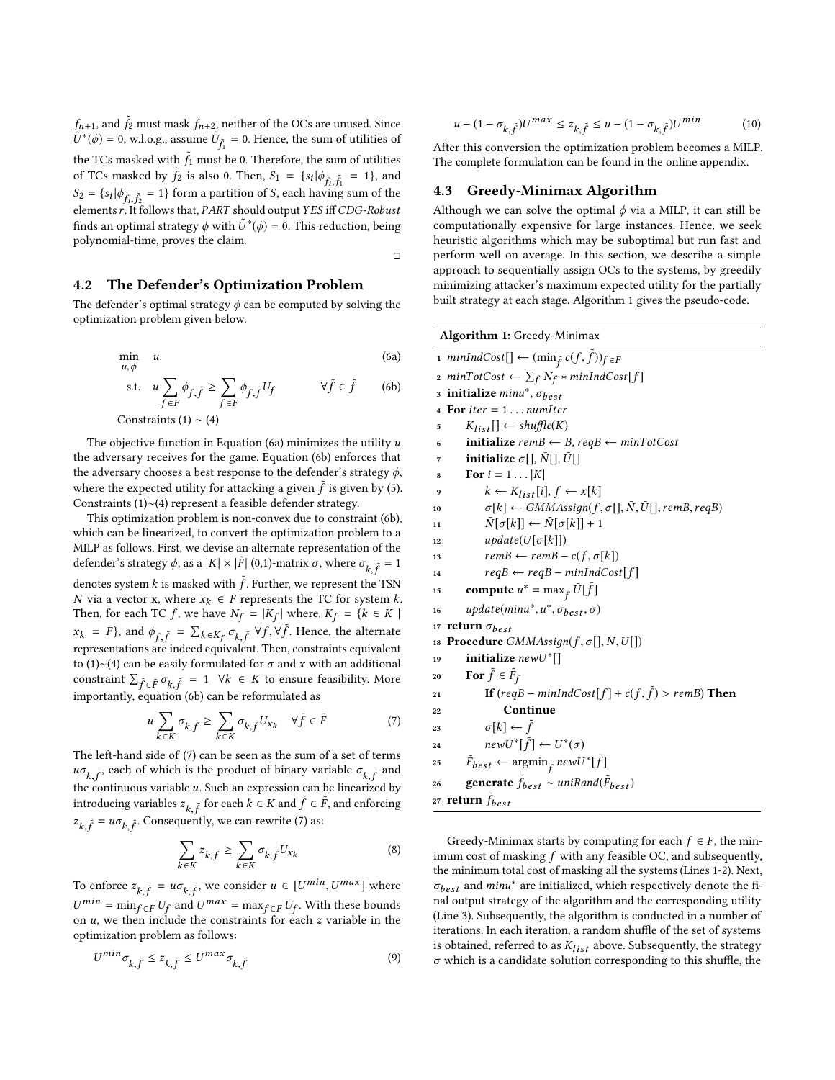$f_{n+1}$ , and  $\tilde{f}_2$  must mask  $f_{n+2}$ , neither of the OCs are unused. Since  $\tilde{U}^*(\phi) = 0$ , where  $\tilde{U}_n = 0$ . Hence, the sum of utilities of  $U^*(\phi) = 0$ , w.l.o.g., assume  $U_{\tilde{f}_1}$ = 0. Hence, the sum of utilities of the TCs masked with  $\tilde{f}_1$  must be 0. Therefore, the sum of utilities of TCs masked by  $\tilde{f}_1$  is also 0. Then,  $S_1 = \{a, b, a, r = 1\}$  and of TCs masked by  $\tilde{f}_2$  is also 0. Then,  $S_1 = \{s_i | \phi_{f_i}, \tilde{f}_1 = 1\}$ , and  $S_2 = \{s_i | \phi_{f_i, \tilde{f}_2} = 1\}$  form a partition of S, each having sum of the elements r. It follows that, *PART* should output *YES* iff *CDG-Robust*<br>finds an optimal strategy  $\phi$  with  $\tilde{U}^*(\phi) = 0$ . This reduction, being finds an optimal strategy  $\phi$  with  $\tilde{U}^*(\phi) = 0$ . This reduction, being polynomial-time, proves the claim polynomial-time, proves the claim.

### 4.2 The Defender's Optimization Problem

The defender's optimal strategy  $\phi$  can be computed by solving the optimization problem given below.

min  
\n
$$
u, \phi
$$
 (6a)  
\ns.t.  $u \sum_{f \in F} \phi_{f, \tilde{f}} \ge \sum_{f \in F} \phi_{f, \tilde{f}} U_f$   $\forall \tilde{f} \in \tilde{f}$  (6b)  
\nConstraints (1) ~ (4)

 $\Box$ 

The objective function in Equation [\(6a\)](#page-4-0) minimizes the utility  $u$ the adversary receives for the game. Equation [\(6b\)](#page-4-1) enforces that the adversary chooses a best response to the defender's strategy  $\phi$ , where the expected utility for attacking a given  $\tilde{f}$  is given by [\(5\)](#page-2-5).<br>Constraints (1) (4) represent a feasible defender strategy Constraints [\(1\)](#page-2-0)∼[\(4\)](#page-2-3) represent a feasible defender strategy.

This optimization problem is non-convex due to constraint [\(6b\)](#page-4-1), which can be linearized, to convert the optimization problem to a MILP as follows. First, we devise an alternate representation of the defender's strategy  $\phi$ , as a  $|K| \times |\tilde{F}|$  (0,1)-matrix  $\sigma$ , where  $\sigma_{k, \tilde{f}} = 1$ denotes system k is masked with  $\tilde{f}$ . Further, we represent the TSN  $N$  via a vector  $\bf{x}$ , where  $\bf{x}_i \in F$  represents the TC for system k N via a vector **x**, where  $x_k$  ∈ F represents the TC for system  $k$ . Then, for each TC f, we have  $N_f = |K_f|$  where,  $K_f = \{k \in K \mid$  $x_k = F$ , and  $\phi_{f_k}$ <br>representations are ˜ f =  $\sum_{k \in K_f} \sigma_{k}$ ˜  $x_k = F$ , and  $\phi_{f, \tilde{f}} = \sum_{k \in K_f} \sigma_{k, \tilde{f}} \ \forall f, \forall \tilde{f}$ . Hence, the alternate representations are indeed equivalent. Then, constraints equivalent to [\(1\)](#page-2-0)∼[\(4\)](#page-2-3) can be easily formulated for  $σ$  and  $x$  with an additional constraint  $\sum_{\tilde{f} \in \tilde{F}} \sigma_{k,\tilde{f}} = 1 \quad \forall k \in K$  to ensure feasibility. More importantly, equation [\(6b\)](#page-4-1) can be reformulated as

<span id="page-4-2"></span>
$$
u \sum_{k \in K} \sigma_{k, \tilde{f}} \ge \sum_{k \in K} \sigma_{k, \tilde{f}} U_{x_k} \quad \forall \tilde{f} \in \tilde{F}
$$
 (7)

The left-hand side of [\(7\)](#page-4-2) can be seen as the sum of a set of terms  $u\sigma_{k,\hat{f}}$ , each of which is the product of binary variable  $\sigma_{k,\hat{f}}$  and the continuous variable u. Such an expression can be linearized by<br>introducing variables  $\zeta$ , for each  $k \in K$  and  $\tilde{f} \in \tilde{F}$  and an<br>forcing introducing variables  $z_{k, \tilde{f}}$  for each  $k \in K$  and  $\tilde{f} \in \tilde{F}$ , and enforcing رب.<br>h an  $z_{k,\tilde{f}} = u\sigma_{k,\tilde{f}}$ . Consequently, we can rewrite [\(7\)](#page-4-2) as: k, f<br>S k, f<br>S

$$
\sum_{k \in K} z_{k,\tilde{f}} \ge \sum_{k \in K} \sigma_{k,\tilde{f}} U_{x_k} \tag{8}
$$

To enforce  $z_{k,\tilde{f}} = u\sigma_{k,\tilde{f}}$ , we consider  $u \in [U^{min}, U^{max}]$  where  $\frac{min}{f} = \min_{f \in F} U_f$  and  $U^{max} = \max_{f \in F} U_f$ . With these bounds on u, we then include the constraints for each z variable in the optimization problem as follows: optimization problem as follows:

$$
U^{\min}\sigma_{k,\tilde{f}} \le z_{k,\tilde{f}} \le U^{\max}\sigma_{k,\tilde{f}}
$$
\n<sup>(9)</sup>

$$
u - (1 - \sigma_{k,\tilde{f}})U^{max} \le z_{k,\tilde{f}} \le u - (1 - \sigma_{k,\tilde{f}})U^{min}
$$
 (10)

After this conversion the optimization problem becomes a MILP. The complete formulation can be found in the online appendix.

#### 4.3 Greedy-Minimax Algorithm

Although we can solve the optimal  $\phi$  via a MILP, it can still be computationally expensive for large instances. Hence, we seek heuristic algorithms which may be suboptimal but run fast and perform well on average. In this section, we describe a simple approach to sequentially assign OCs to the systems, by greedily minimizing attacker's maximum expected utility for the partially built strategy at each stage. Algorithm [1](#page-4-3) gives the pseudo-code.

```
Algorithm 1: Greedy-Minimax
  1 minIndCost[] ← (\min_{\tilde{f}} c(f, \tilde{f}))_{f \in F}2 minTotCost ← \sum_f N_f * minIndCost[f]
  3 initialize min^*, \sigma_{best}4 For iter = 1... numIter<br>5 K_{list}[\cdot] \leftarrow shuffle(K)5 K_{list}[] \leftarrow shuffle(K)<br>6 initialize remB \leftarrow B6 initialize remB \leftarrow B, reqB \leftarrow minTotCost<br>7 initialize \sigma[\mathbf{I}, \bar{N}[\mathbf{I}], \bar{U}[\mathbf{I}]]7 initialize \sigma[], \bar{N}[], \bar{U}[]<br>8 For i = 1 \dots |K|8 For i = 1 \dots |K|<br>9 k \leftarrow K_{list}[i]9 k \leftarrow K_{list}[i], f \leftarrow x[k]<br>10 \sigma[k] \leftarrow \text{GMMAssian}(f,10 \sigma[k] \leftarrow GMMAssign(f, \sigma[], \bar{N}, \bar{U}[], remB, reqB)<br>11 \bar{N}[\sigma[k]] \leftarrow \bar{N}[\sigma[k]] + 111 \bar{N}[\sigma[k]] \leftarrow \bar{N}[\sigma[k]] + 1<br>
12 update(\bar{U}[\sigma[k]])12 update(\bar{U}[\sigma[k]])<br>
13 remB \leftarrow remB -13 remB \leftarrow remB - c(f, \sigma[k])<br>14 reqB \leftarrow reqB - minIndCos14 reqB \leftarrow reqB - minIndCost[f]<br>15 compute u^* = \max_{\tilde{f}} \tilde{U}[\tilde{f}]15 compute u^* = \max_{\tilde{f}} \bar{U}[\tilde{f}]16 update(minu<sup>*</sup>, u<sup>*</sup>, \sigma_b*, \sigma_{best}, \sigma)17 return \sigma_{best}18 Procedure GMMAssign(f, \sigma[], \bar{N}, \bar{U}[])<br>19 initialize newl<sup>T*</sup>[]
19 initialize newU^*[]
20 For \tilde{f} \in \tilde{F}21 If (reqB - minIndCost[f] + c(f, \tilde{f}) > remB) Then
22 Continue
23 \sigma[k] \leftarrow \tilde{f}<br>
24 newU^*[\tilde{f}]24 newU^*[\tilde{f}] \leftarrow U^*(\sigma)25 \tilde{F}_{best} \leftarrow \operatorname{argmin}_{\tilde{f}} newU^*[\tilde{f}]26 generate \tilde{f}_{best} \sim unikand(\tilde{F}_{best})rac{1}{27} return \tilde{f}_{best}
```
<span id="page-4-3"></span>Greedy-Minimax starts by computing for each  $f \in F$ , the minimum cost of masking  $f$  with any feasible OC, and subsequently, the minimum total cost of masking all the systems (Lines 1-2). Next,  $\sigma_{best}$  and  $minu^*$  are initialized, which respectively denote the final output strategy of the algorithm and the corresponding utility nal output strategy of the algorithm and the corresponding utility (Line 3). Subsequently, the algorithm is conducted in a number of iterations. In each iteration, a random shuffle of the set of systems is obtained, referred to as  $K_{list}$  above. Subsequently, the strategy  $\sigma$  which is a candidate solution corresponding to this shuffle, the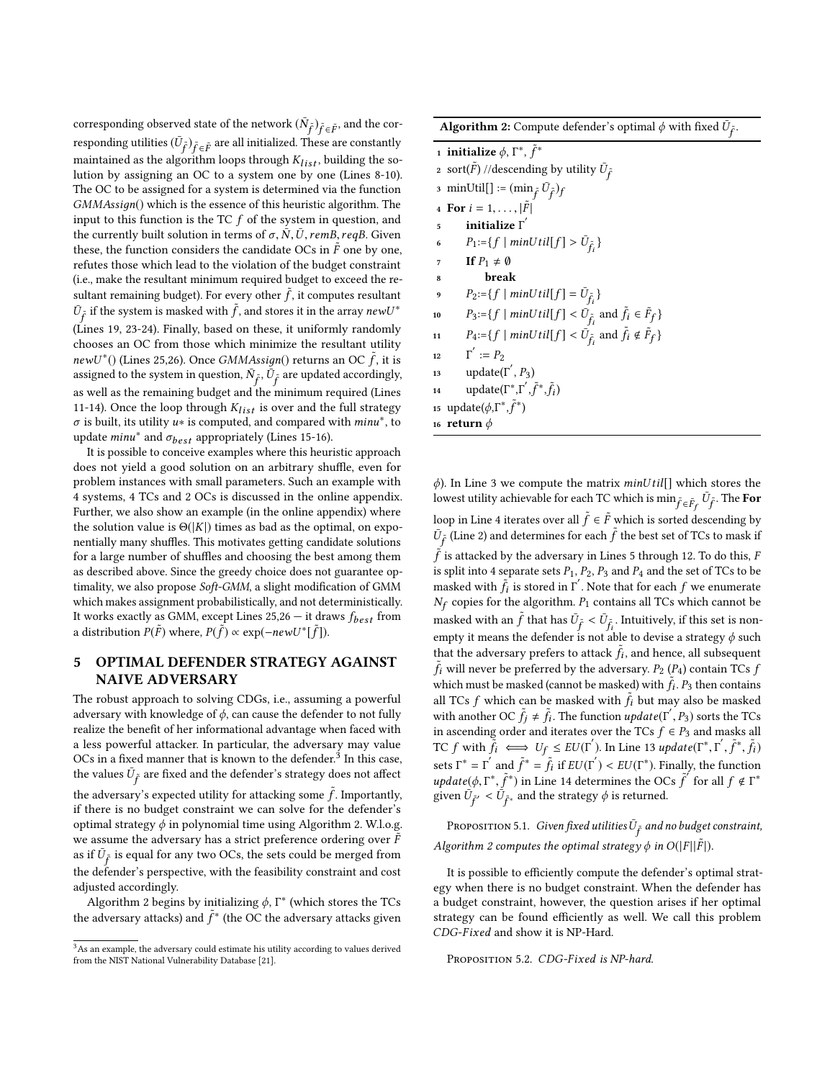corresponding observed state of the network  $(\bar{N}_{\tilde{f}})_{\tilde{f} \in \tilde{F}}$ , and the corresponding utilities ( $\bar{U}$ <sub>5</sub>), and  $\bar{U}$  and  $\bar{U}$  and  $\bar{U}$  and  $\bar{U}$  and  $\bar{U}$ responding utilities  $(\bar{U}_{\tilde{f}})_{\tilde{f} \in \tilde{F}}$  are all initialized. These are constantly<br>maintained as the algorithm loops through  $K_{1+}$  building the somaintained as the algorithm loops through  $K_{list}$ , building the so-<br>lution by assigning an OC to a system one by one (Lines 8-10) lution by assigning an OC to a system one by one (Lines 8-10). The OC to be assigned for a system is determined via the function GMMAssiдn() which is the essence of this heuristic algorithm. The input to this function is the TC  $f$  of the system in question, and the currently built solution in terms of  $\sigma$ ,  $\bar{N}$ ,  $\bar{U}$ , remB, reqB. Given these, the function considers the candidate OCs in  $\tilde{F}$  one by one, refutes those which lead to the violation of the budget constraint (i.e., make the resultant minimum required budget to exceed the resultant remaining budget). For every other  $\tilde{f}$ , it computes resultant  $\tilde{U}$ , if the gyptom is mogled with  $\tilde{f}$  and starse it in the gypty near  $U^*$  $\bar{U}_{\tilde{f}}$  if the system is masked with  $\tilde{f}$ , and stores it in the array new  $U^*$ f (Lines 19, 23-24). Finally, based on these, it uniformly randomly chooses an OC from those which minimize the resultant utility  $newU^*()$  (Lines 25,26). Once *GMMAssign*() returns an OC  $\tilde{f}$ , it is assigned to the system in question  $\tilde{N}$ -  $\tilde{U}$ - are undated accordingly assigned to the system in question,  $\bar{N}_{\tilde{f}}, \bar{U}_{\tilde{f}}$  are updated accordingly, as well as the remaining budget and the minimum required (Lines 11-14). Once the loop through  $K_{list}$  is over and the full strategy  $\sigma$  is built, its utility u∗ is computed, and compared with *minu<sup>∗</sup>*, to undate minu<sup>\*</sup> and  $\sigma$ : appropriately (Lines 15-16) update  $minu^*$  and  $\sigma_{best}$  appropriately (Lines 15-16).<br>It is possible to conceive examples where this heur

It is possible to conceive examples where this heuristic approach does not yield a good solution on an arbitrary shuffle, even for problem instances with small parameters. Such an example with 4 systems, 4 TCs and 2 OCs is discussed in the online appendix. Further, we also show an example (in the online appendix) where the solution value is  $\Theta(|K|)$  times as bad as the optimal, on exponentially many shuffles. This motivates getting candidate solutions for a large number of shuffles and choosing the best among them as described above. Since the greedy choice does not guarantee optimality, we also propose Soft-GMM, a slight modification of GMM which makes assignment probabilistically, and not deterministically. It works exactly as GMM, except Lines  $25,26 -$  it draws  $f_{best}$  from a distribution  $P(\tilde{F})$  where,  $P(\tilde{f}) \propto \exp(-newU^*[\tilde{f}]).$ 

## <span id="page-5-0"></span>5 OPTIMAL DEFENDER STRATEGY AGAINST NAIVE ADVERSARY

The robust approach to solving CDGs, i.e., assuming a powerful adversary with knowledge of  $\phi$ , can cause the defender to not fully realize the benefit of her informational advantage when faced with a less powerful attacker. In particular, the adversary may value OCs in a fixed manner that is known to the defender.<sup>[3](#page-5-1)</sup> In this case. the values  $\bar{U}_{\tilde{f}}$  are fixed and the defender's strategy does not affect

the adversary's expected utility for attacking some  $\tilde{f}$ . Importantly, if there is no budget constraint we can solve for the defender's if there is no budget constraint we can solve for the defender's optimal strategy  $\phi$  in polynomial time using Algorithm [2.](#page-5-2) W.l.o.g. we assume the adversary has a strict preference ordering over  $\tilde{F}$ as if  $\bar{U}_{\bar{f}}$  is equal for any two OCs, the sets could be merged from f the defender's perspective, with the feasibility constraint and cost adjusted accordingly.

Algorithm [2](#page-5-2) begins by initializing  $\phi$ ,  $\Gamma^*$  (which stores the TCs the adversary attacks) and  $\tilde{f}^*$  (the OC the adversary attacks given  $\overline{f}$ 

Algorithm 2: Compute defender's optimal  $\phi$  with fixed  $\tilde{U}_{\tilde{f}}$ .

|                | 1 initialize $\phi$ , $\Gamma^*$ , $\tilde{f}^*$                                                   |  |
|----------------|----------------------------------------------------------------------------------------------------|--|
|                | 2 sort( $\tilde{F}$ ) //descending by utility $\bar{U}_{\tilde{f}}$                                |  |
|                | 3 minUtil[] := $(\min_{\tilde{f}} \tilde{U}_{\tilde{f}})_{f}$                                      |  |
|                | 4 For $i = 1, ,  \tilde{F} $                                                                       |  |
| 5              | initialize $\Gamma^{'}$                                                                            |  |
| 6              | $P_1 = \{f \mid minUtil[f] > U_{\tilde{f}_i}\}\$                                                   |  |
| $\overline{7}$ | If $P_1 \neq \emptyset$                                                                            |  |
| 8              | break                                                                                              |  |
| 9              | $P_2 = \{f \mid minUtil[f] = U_{\tilde{f}_i}\}\$                                                   |  |
| 10             | $P_3 = \{f \mid minUtil[f] < \bar{U}_{\tilde{f}_i} \text{ and } \tilde{f}_i \in \tilde{F}_f\}$     |  |
| 11             | $P_4{:=}\{f \mid minUtil[f] < \bar{U}_{\tilde{f}_i} \text{ and } \tilde{f}_i \notin \tilde{F}_f\}$ |  |
| 12             | $\Gamma' := P_2$                                                                                   |  |
| 13             | update( $\Gamma'$ , $P_3$ )                                                                        |  |
| 14             | update( $\Gamma^*, \Gamma', \tilde{f}^*, \tilde{f}_i$ )                                            |  |
|                | 15 update( $\phi$ , $\Gamma^*, \tilde{f}^*$ )                                                      |  |
|                | 16 return $\phi$                                                                                   |  |
|                |                                                                                                    |  |

<span id="page-5-2"></span> $\phi$ ). In Line 3 we compute the matrix *minUtil*[] which stores the lowest utility achievable for each TC which is  $\min_{\tilde{f} \in \tilde{F}_f} \tilde{U}_{\tilde{f}}$ . The For loop in Line 4 iterates over all  $\tilde{f} \in \tilde{F}$  which is sorted descending by<br> $\tilde{U}$ . (Line 2) and determines for each  $\tilde{f}$  the best set of TCs to mask if  $\bar{U}_{\tilde{f}}$  (Line 2) and determines for each  $\tilde{f}$  the best set of TCs to mask if  $\tilde{f}$  is attacked by the adversary in Lines 5 through 12. To do this,  $F$ <br>is split into 4 separate sets  $P_1$ ,  $P_2$ ,  $P_3$  and  $P_4$  and the set of TCs to be is split into 4 separate sets  $P_1$ ,  $P_2$ ,  $P_3$  and  $P_4$  and the set of TCs to be masked with  $\tilde{f}_i$  is stored in Γ'. Note that for each f we enumerate<br>N<sub>s</sub> conjector the algorithm *P<sub>s</sub>* contains all TCs which cannot be copies for the algorithm.  $P_1$  contains all TCs which cannot be masked with an  $\tilde{f}$  that has  $\bar{U}_{\tilde{f}} < \bar{U}_{\tilde{f}}$ . Intuitively, if this set is nonempty it means the defender is not able to devise a strategy  $\phi$  such<br>that the advance wavefant to attack  $\tilde{F}$  and hance all subsequent that the adversary prefers to attack  $\tilde{f}_i$ , and hence, all subsequent  $\tilde{f}_i$  will never be preferred by the adversary.  $P_2$  ( $P_4$ ) contain TCs  $f_i$ <br>which must be preferred (cannot be mocked) with  $\tilde{f}_i$ .  $P_i$  than contained which must be masked (cannot be masked) with  $\tilde{f}_t$ .  $P_3$  then contains all TCs further has magled with  $\tilde{f}_t$  but may also be magled all TCs f which can be masked with  $\tilde{f}_i$  but may also be masked<br>with one has been masked with  $\tilde{f}_i$  but may also be masked<br>with one has CC  $\tilde{f}_i \neq \tilde{f}_i$ . The function undertail  $\Gamma$  and  $\Gamma$  and  $\Gamma$  C with another OC  $\tilde{f}_j \neq \tilde{f}_i$ . The function  $update(\Gamma', P_3)$  sorts the TCs<br>in ascending order and iterates over the TCs  $f \in P_3$  and masks all in ascending order and iterates over the TCs  $f \in P_3$  and masks all<br>TC f with  $\tilde{F}$   $\longrightarrow$   $H_r \times$   $E H(F')$ . In line 13 undeta( $F^*$ ,  $F'$ ,  $\tilde{F}^*$ ,  $\tilde{F}$ ) TC f with  $\tilde{f}_i \iff U_f \le EU(\Gamma')$ . In Line 13 update( $\Gamma^*, \Gamma', \tilde{f}^*, \tilde{f}_i$ ) sets  $\Gamma^* = \Gamma^{'}$  and  $\tilde{f}^* = \tilde{f}_i$  if  $EU(\Gamma^{'}) < EU(\Gamma^*)$ . Finally, the function *update*( $\phi, \Gamma^*, \tilde{f}^*$ ) in Line 14 determines the OCs  $\tilde{f}$ <br>given  $\overline{U}_2$ ,  $\angle \overline{U}_2$  and the strategy  $\phi$  is returned given  $\bar{U}_{\tilde{f}'} < \bar{U}_{\tilde{f}^*}$  and the strategy  $\phi$  is returned.  $\int$  for all  $f \notin \Gamma^*$ 

Proposition 5.1. *Given fixed utilities*  $\bar{U}_{\tilde{f}}$  and no budget constraint, Algorithm [2](#page-5-2) computes the optimal strategy  $\phi$  in  $O(|F||\tilde{F}|)$ .

It is possible to efficiently compute the defender's optimal strategy when there is no budget constraint. When the defender has a budget constraint, however, the question arises if her optimal strategy can be found efficiently as well. We call this problem CDG-Fixed and show it is NP-Hard.

PROPOSITION 5.2. CDG-Fixed is NP-hard.

f<br>S

f<br>S

<span id="page-5-1"></span><sup>&</sup>lt;sup>3</sup>As an example, the adversary could estimate his utility according to values derived from the NIST National Vulnerability Database [\[21\]](#page-8-25).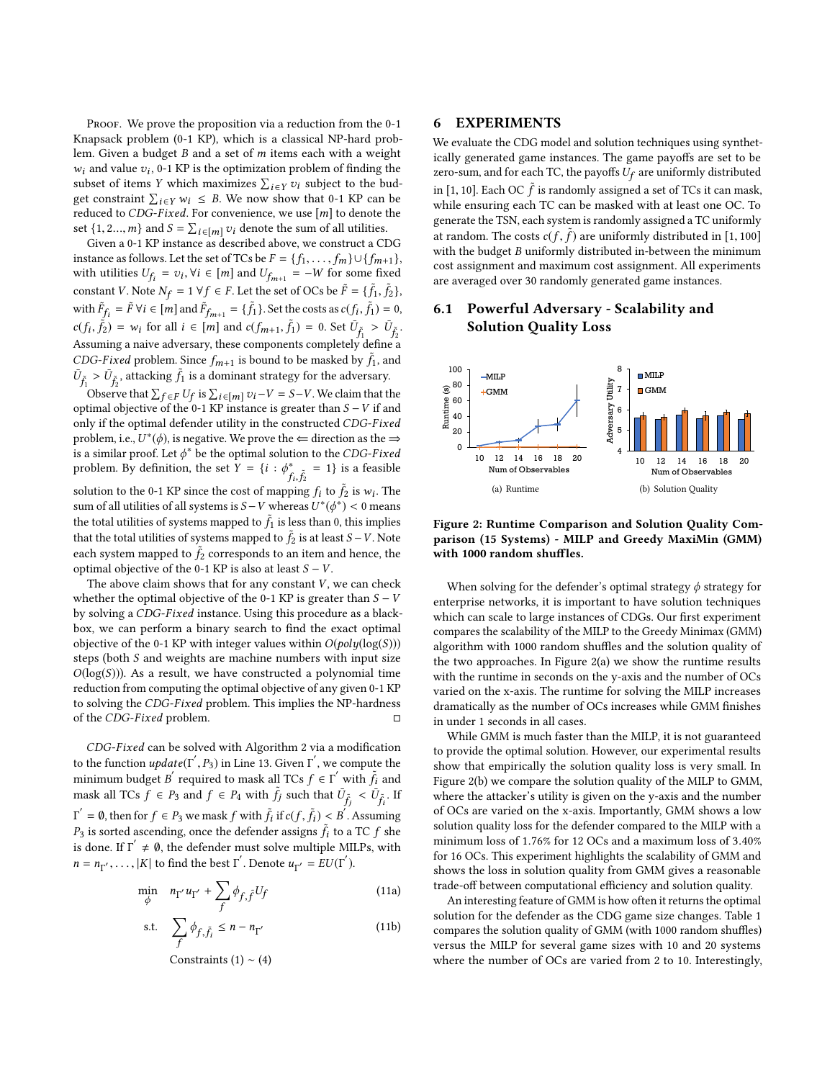PROOF. We prove the proposition via a reduction from the 0-1 Knapsack problem (0-1 KP), which is a classical NP-hard problem. Given a budget B and a set of m items each with a weight  $w_i$  and value  $v_i$ , 0-1 KP is the optimization problem of finding the subset of items Y which maximizes  $\Sigma$ ,  $v_i$  which to the hudd subset of items Y which maximizes  $\sum_{i \in Y} v_i$  subject to the bud-<br>get constraint  $\sum_{i} v_i v_i \leq R$ . We now show that 0-1 KP can be get constraint  $\sum_{i \in Y} w_i \leq B$ . We now show that 0-1 KP can be reduced to CDG-Fixed. For convenience we use [m] to denote the reduced to CDG-Fixed. For convenience, we use  $[m]$  to denote the set {1, 2..., *m*} and  $S = \sum_{i \in [m]} v_i$  denote the sum of all utilities.<br>Given a 0-1 KP instance as described above, we construct a CI

Given a 0-1 KP instance as described above, we construct a CDG instance as follows. Let the set of TCs be  $F = \{f_1, \ldots, f_m\} \cup \{f_{m+1}\},\,$ with utilities  $U_{f_i} = v_i$ ,  $\forall i \in [m]$  and  $U_{f_{m+1}} = -W$  for some fixed constant V. Note  $N_f = 1 \,\forall f \in F$ . Let the set of OCs be  $\tilde{F} = \{\tilde{f}_1, \tilde{f}_2\}$ with  $\tilde{F}_{f_i} = \tilde{F} \forall i \in [m]$  and  $\tilde{F}_{f_{m+1}} = {\tilde{f}_1}$ . Set the costs as  $c(f_i)$  $\tilde{f}_1$ ) = 0,  $c(f_i, \tilde{f}_i) = w_i$  for all  $i \in [m]$  and  $c(f_{m+1}, \tilde{f}_1) = 0$ . Set  $\overline{U}_{\tilde{f}_1} > \overline{U}_{\tilde{f}_2}$ . Assuming a naive adversary, these components completely define a  $\frac{f_1}{f_1}$ . CDG-Fixed problem. Since  $f_{m+1}$  is bound to be masked by  $\tilde{f}_1$ , and  $\overline{f}_1$ ,  $\sum f_{n-1}$  the objection  $\tilde{f}_n$  is a dominant strategy for the odvergent  $\bar{U}_{\tilde{f}_1} > \bar{U}_{\tilde{f}_2}$ , attacking  $\tilde{f}_1$  is a dominant strategy for the adversary.<br>Observe that  $\sum_{n=1}^{\infty} I_n I_n$  is  $\sum_{n=1}^{\infty} I_n = \sum_{n=1}^{\infty} I_n$ . We claim that the

 $\sum_{f_2} \sum_{i=1}^{N}$  constants  $\sum_{i=1}^{N} U_f$  is  $\sum_{i \in [m]} v_i - V = S - V$ . We claim that the timal objective of the 0-1 KP instance is greater than  $S - V$  if and Observe that  $\sum_{f \in F} U_f$  is  $\sum_{i \in [m]} v_i - v = S - v$ . We claim that the optimal objective of the 0-1 KP instance is greater than  $S - V$  if and only if the optimal defender utility in the constructed CDG-Eixed only if the optimal defender utility in the constructed CDG-Fixed problem, i.e.,  $U^*(\phi)$ , is negative. We prove the  $\Leftarrow$  direction as the  $\Rightarrow$  is a similar proof. Let  $\phi^*$  be the optimal solution to the CDG-Fixed is a similar proof. Let  $\phi^*$  be the optimal solution to the CDG-Fixed<br>problem. By definition, the set  $Y = \{i : \phi^* = -1\}$  is a feasible problem. By definition, the set  $\hat{Y} = \{i : \phi^*_{f_i, \hat{f}_2}\}$  $f_i, f_2$ <br>solution to the 0-1 KP since the cost of mapping  $f_i$  to  $\tilde{f}_2$  is  $w_i$ . The<br>sum of all utilities of all systems is  $S-V$  whereas  $U^*(d^*) < 0$  means  $= 1$ } is a feasible sum of all utilities of all systems is  $S - V$  whereas  $U^*(\phi^*) < 0$  means the total utilities of systems mapped to  $\tilde{f}_1$  is less than 0, this implies<br>that the total utilities of systems mapped to  $\tilde{f}_2$  is at least  $S$ .  $V$  Note that the total utilities of systems mapped to  $\tilde{f}_2$  is at least  $S - V$ . Note each system mapped to  $\hat{f}_2$  corresponds to an item and hence, the optimal objective of the 0.1 KP is also at least  $S - V$ optimal objective of the 0-1 KP is also at least  $S - V$ .

The above claim shows that for any constant  $V$ , we can check whether the optimal objective of the 0-1 KP is greater than  $S - V$ by solving a CDG-Fixed instance. Using this procedure as a blackbox, we can perform a binary search to find the exact optimal objective of the 0-1 KP with integer values within  $O(\text{poly}(\log(S)))$ steps (both S and weights are machine numbers with input size  $O(log(S))$ ). As a result, we have constructed a polynomial time reduction from computing the optimal objective of any given 0-1 KP to solving the CDG-Fixed problem. This implies the NP-hardness of the CDG-Fixed problem.  $\square$ of the CDG-Fixed problem.

CDG-Fixed can be solved with Algorithm [2](#page-5-2) via a modification to the function  $update(\Gamma', P_3)$  in Line 13. Given  $\Gamma'$ , we compute the minimum budget  $P'$  required to mook all TCe  $f \subset \Gamma'$  with  $\tilde{f}$  and minimum budget B' required to mask all TCs  $f \in \Gamma'$  with  $\tilde{f}_i$  and mask all TCs  $f \in P_3$  and  $f \in P_4$  with  $\tilde{f}_j$  such that  $\overline{U}_{\tilde{f}_j} < \overline{U}_{\tilde{f}_i}$ . If  $P_3$  is sorted ascending, once the defender assigns  $\tilde{f}_i$  to a TC f she<br>is done. If  $\Gamma' \neq \emptyset$ , the defender must celus multiple MII Be, with  $\hat{f} = \emptyset$ , then for  $f \in P_3$  we mask f with  $\tilde{f}_i$  if  $c(f, \tilde{f}_i) < B^i$ . Assuming is done. If  $\Gamma' \neq \emptyset$ , the defender must solve multiple MILPs, with  $n = n_{\Gamma'}, \ldots, |K|$  to find the best  $\Gamma'$ . Denote  $u_{\Gamma'} = EU(\Gamma')$ .

$$
\min_{\phi} \quad n_{\Gamma'} u_{\Gamma'} + \sum_{f} \phi_{f, \tilde{f}} U_f \tag{11a}
$$

s.t. 
$$
\sum_{f} \phi_{f, \tilde{f}_i} \le n - n_{\Gamma'}
$$
 (11b)  
Constraints (1) ~ (4)

6 EXPERIMENTS

We evaluate the CDG model and solution techniques using synthetically generated game instances. The game payoffs are set to be zero-sum, and for each TC, the payoffs  $U_f$  are uniformly distributed

in [1, 10]. Each OC  $\tilde{f}$  is randomly assigned a set of TCs it can mask, while ensuring each TC can be masked with at least one OC. To while ensuring each TC can be masked with at least one OC. To generate the TSN, each system is randomly assigned a TC uniformly at random. The costs  $c(f, \tilde{f})$  are uniformly distributed in [1, 100]<br>with the budget B uniformly distributed in-between the minimum with the budget  $B$  uniformly distributed in-between the minimum cost assignment and maximum cost assignment. All experiments are averaged over 30 randomly generated game instances.

## 6.1 Powerful Adversary - Scalability and Solution Quality Loss

<span id="page-6-0"></span>

<span id="page-6-1"></span>Figure 2: Runtime Comparison and Solution Quality Comparison (15 Systems) - MILP and Greedy MaxiMin (GMM) with 1000 random shuffles.

When solving for the defender's optimal strategy  $\phi$  strategy for enterprise networks, it is important to have solution techniques which can scale to large instances of CDGs. Our first experiment compares the scalability of the MILP to the Greedy Minimax (GMM) algorithm with 1000 random shuffles and the solution quality of the two approaches. In Figure [2\(a\)](#page-6-0) we show the runtime results with the runtime in seconds on the y-axis and the number of OCs varied on the x-axis. The runtime for solving the MILP increases dramatically as the number of OCs increases while GMM finishes in under 1 seconds in all cases.

While GMM is much faster than the MILP, it is not guaranteed to provide the optimal solution. However, our experimental results show that empirically the solution quality loss is very small. In Figure [2\(b\)](#page-6-1) we compare the solution quality of the MILP to GMM, where the attacker's utility is given on the y-axis and the number of OCs are varied on the x-axis. Importantly, GMM shows a low solution quality loss for the defender compared to the MILP with a minimum loss of <sup>1</sup>.76% for 12 OCs and a maximum loss of <sup>3</sup>.40% for 16 OCs. This experiment highlights the scalability of GMM and shows the loss in solution quality from GMM gives a reasonable trade-off between computational efficiency and solution quality.

An interesting feature of GMM is how often it returns the optimal solution for the defender as the CDG game size changes. Table [1](#page-7-0) compares the solution quality of GMM (with 1000 random shuffles) versus the MILP for several game sizes with 10 and 20 systems where the number of OCs are varied from 2 to 10. Interestingly,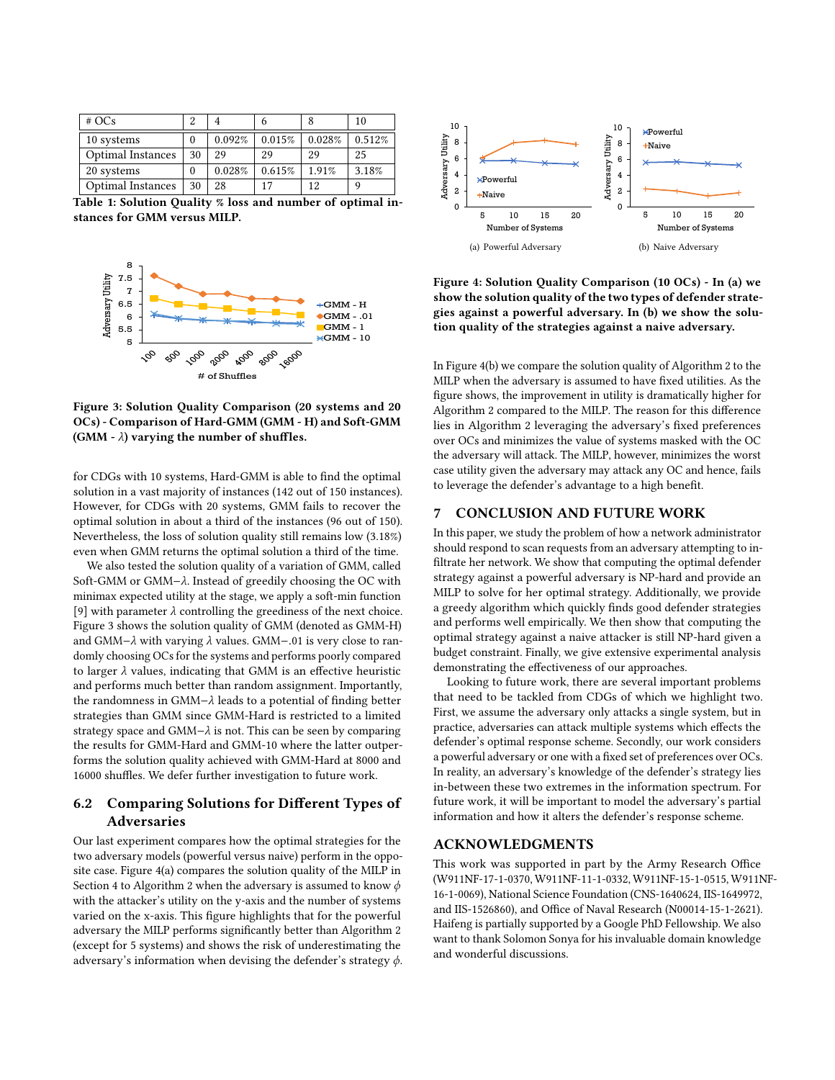<span id="page-7-0"></span>

| #OCs                     |    |        |        |        | 10     |
|--------------------------|----|--------|--------|--------|--------|
| 10 systems               |    | 0.092% | 0.015% | 0.028% | 0.512% |
| <b>Optimal Instances</b> | 30 | 29     | 29     | 29     | 25     |
| 20 systems               |    | 0.028% | 0.615% | 1.91%  | 3.18%  |
| <b>Optimal Instances</b> | 30 | 28     | 17     | 12     |        |

Table 1: Solution Quality % loss and number of optimal instances for GMM versus MILP.

<span id="page-7-1"></span>

Figure 3: Solution Quality Comparison (20 systems and 20 OCs) - Comparison of Hard-GMM (GMM - H) and Soft-GMM (GMM -  $\lambda$ ) varying the number of shuffles.

for CDGs with 10 systems, Hard-GMM is able to find the optimal solution in a vast majority of instances (142 out of 150 instances). However, for CDGs with 20 systems, GMM fails to recover the optimal solution in about a third of the instances (96 out of 150). Nevertheless, the loss of solution quality still remains low (3.18%) even when GMM returns the optimal solution a third of the time.

We also tested the solution quality of a variation of GMM, called Soft-GMM or GMM−λ. Instead of greedily choosing the OC with minimax expected utility at the stage, we apply a soft-min function [\[9\]](#page-8-26) with parameter  $\lambda$  controlling the greediness of the next choice. Figure [3](#page-7-1) shows the solution quality of GMM (denoted as GMM-H) and GMM−λ with varying λ values. GMM−.<sup>01</sup> is very close to randomly choosing OCs for the systems and performs poorly compared to larger  $\lambda$  values, indicating that GMM is an effective heuristic and performs much better than random assignment. Importantly, the randomness in GMM−λ leads to a potential of finding better strategies than GMM since GMM-Hard is restricted to a limited strategy space and GMM $-\lambda$  is not. This can be seen by comparing the results for GMM-Hard and GMM-10 where the latter outperforms the solution quality achieved with GMM-Hard at 8000 and 16000 shuffles. We defer further investigation to future work.

# 6.2 Comparing Solutions for Different Types of Adversaries

Our last experiment compares how the optimal strategies for the two adversary models (powerful versus naive) perform in the opposite case. Figure [4\(a\)](#page-7-2) compares the solution quality of the MILP in Section [4](#page-3-0) to Algorithm [2](#page-5-2) when the adversary is assumed to know  $\phi$ with the attacker's utility on the y-axis and the number of systems varied on the x-axis. This figure highlights that for the powerful adversary the MILP performs significantly better than Algorithm [2](#page-5-2) (except for 5 systems) and shows the risk of underestimating the adversary's information when devising the defender's strategy  $\phi$ .

<span id="page-7-2"></span>

<span id="page-7-3"></span>Figure 4: Solution Quality Comparison (10 OCs) - In (a) we show the solution quality of the two types of defender strategies against a powerful adversary. In (b) we show the solution quality of the strategies against a naive adversary.

In Figure [4\(b\)](#page-7-3) we compare the solution quality of Algorithm [2](#page-5-2) to the MILP when the adversary is assumed to have fixed utilities. As the figure shows, the improvement in utility is dramatically higher for Algorithm [2](#page-5-2) compared to the MILP. The reason for this difference lies in Algorithm [2](#page-5-2) leveraging the adversary's fixed preferences over OCs and minimizes the value of systems masked with the OC the adversary will attack. The MILP, however, minimizes the worst case utility given the adversary may attack any OC and hence, fails to leverage the defender's advantage to a high benefit.

#### 7 CONCLUSION AND FUTURE WORK

In this paper, we study the problem of how a network administrator should respond to scan requests from an adversary attempting to infiltrate her network. We show that computing the optimal defender strategy against a powerful adversary is NP-hard and provide an MILP to solve for her optimal strategy. Additionally, we provide a greedy algorithm which quickly finds good defender strategies and performs well empirically. We then show that computing the optimal strategy against a naive attacker is still NP-hard given a budget constraint. Finally, we give extensive experimental analysis demonstrating the effectiveness of our approaches.

Looking to future work, there are several important problems that need to be tackled from CDGs of which we highlight two. First, we assume the adversary only attacks a single system, but in practice, adversaries can attack multiple systems which effects the defender's optimal response scheme. Secondly, our work considers a powerful adversary or one with a fixed set of preferences over OCs. In reality, an adversary's knowledge of the defender's strategy lies in-between these two extremes in the information spectrum. For future work, it will be important to model the adversary's partial information and how it alters the defender's response scheme.

### ACKNOWLEDGMENTS

This work was supported in part by the Army Research Office (W911NF-17-1-0370, W911NF-11-1-0332, W911NF-15-1-0515, W911NF-16-1-0069), National Science Foundation (CNS-1640624, IIS-1649972, and IIS-1526860), and Office of Naval Research (N00014-15-1-2621). Haifeng is partially supported by a Google PhD Fellowship. We also want to thank Solomon Sonya for his invaluable domain knowledge and wonderful discussions.